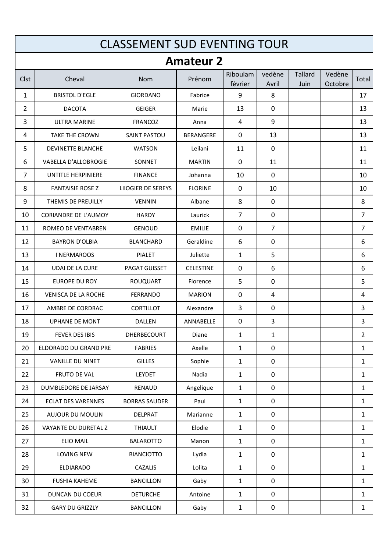|                | <b>CLASSEMENT SUD EVENTING TOUR</b> |                      |                  |                     |                 |                        |                   |                |  |
|----------------|-------------------------------------|----------------------|------------------|---------------------|-----------------|------------------------|-------------------|----------------|--|
|                |                                     |                      | <b>Amateur 2</b> |                     |                 |                        |                   |                |  |
| Clst           | Cheval                              | <b>Nom</b>           | Prénom           | Riboulam<br>février | vedène<br>Avril | <b>Tallard</b><br>Juin | Vedène<br>Octobre | Total          |  |
| 1              | <b>BRISTOL D'EGLE</b>               | <b>GIORDANO</b>      | Fabrice          | 9                   | 8               |                        |                   | 17             |  |
| $\overline{2}$ | <b>DACOTA</b>                       | <b>GEIGER</b>        | Marie            | 13                  | 0               |                        |                   | 13             |  |
| 3              | <b>ULTRA MARINE</b>                 | <b>FRANCOZ</b>       | Anna             | 4                   | 9               |                        |                   | 13             |  |
| 4              | <b>TAKE THE CROWN</b>               | <b>SAINT PASTOU</b>  | BERANGERE        | $\mathbf{0}$        | 13              |                        |                   | 13             |  |
| 5              | DEVINETTE BLANCHE                   | <b>WATSON</b>        | Leilani          | 11                  | 0               |                        |                   | 11             |  |
| 6              | <b>VABELLA D'ALLOBROGIE</b>         | SONNET               | <b>MARTIN</b>    | $\mathbf{0}$        | 11              |                        |                   | 11             |  |
| $\overline{7}$ | UNTITLE HERPINIERE                  | <b>FINANCE</b>       | Johanna          | 10                  | $\mathbf{0}$    |                        |                   | 10             |  |
| 8              | <b>FANTAISIE ROSE Z</b>             | LIIOGIER DE SEREYS   | <b>FLORINE</b>   | 0                   | 10              |                        |                   | 10             |  |
| 9              | THEMIS DE PREUILLY                  | <b>VENNIN</b>        | Albane           | 8                   | 0               |                        |                   | 8              |  |
| 10             | <b>CORIANDRE DE L'AUMOY</b>         | <b>HARDY</b>         | Laurick          | $\overline{7}$      | $\mathbf 0$     |                        |                   | $\overline{7}$ |  |
| 11             | ROMEO DE VENTABREN                  | <b>GENOUD</b>        | <b>EMILIE</b>    | 0                   | 7               |                        |                   | $\overline{7}$ |  |
| 12             | <b>BAYRON D'OLBIA</b>               | <b>BLANCHARD</b>     | Geraldine        | 6                   | 0               |                        |                   | 6              |  |
| 13             | <b>INERMAROOS</b>                   | <b>PIALET</b>        | Juliette         | 1                   | 5               |                        |                   | 6              |  |
| 14             | <b>UDAI DE LA CURE</b>              | <b>PAGAT GUISSET</b> | <b>CELESTINE</b> | $\mathbf 0$         | 6               |                        |                   | 6              |  |
| 15             | <b>EUROPE DU ROY</b>                | <b>ROUQUART</b>      | Florence         | 5                   | 0               |                        |                   | 5              |  |
| 16             | <b>VENISCA DE LA ROCHE</b>          | <b>FERRANDO</b>      | <b>MARION</b>    | 0                   | 4               |                        |                   | 4              |  |
| 17             | AMBRE DE CORDRAC                    | <b>CORTILLOT</b>     | Alexandre        | 3                   | 0               |                        |                   | 3              |  |
| 18             | UPHANE DE MONT                      | <b>DALLEN</b>        | ANNABELLE        | 0                   | 3               |                        |                   | 3              |  |
| 19             | FEVER DES IBIS                      | DHERBECOURT          | Diane            | $\mathbf{1}$        | $\mathbf{1}$    |                        |                   | $\overline{2}$ |  |
| 20             | ELDORADO DU GRAND PRE               | <b>FABRIES</b>       | Axelle           | $\mathbf{1}$        | $\pmb{0}$       |                        |                   | $\mathbf{1}$   |  |
| 21             | VANILLE DU NINET                    | <b>GILLES</b>        | Sophie           | $\mathbf{1}$        | $\mathbf 0$     |                        |                   | $\mathbf{1}$   |  |
| 22             | FRUTO DE VAL                        | LEYDET               | Nadia            | $\mathbf{1}$        | $\mathbf 0$     |                        |                   | $\mathbf{1}$   |  |
| 23             | DUMBLEDORE DE JARSAY                | RENAUD               | Angelique        | $\mathbf{1}$        | $\mathbf 0$     |                        |                   | $\mathbf{1}$   |  |
| 24             | <b>ECLAT DES VARENNES</b>           | <b>BORRAS SAUDER</b> | Paul             | $\mathbf{1}$        | $\pmb{0}$       |                        |                   | $\mathbf{1}$   |  |
| 25             | <b>AUJOUR DU MOULIN</b>             | DELPRAT              | Marianne         | $\mathbf{1}$        | $\mathbf 0$     |                        |                   | $\mathbf{1}$   |  |
| 26             | VAYANTE DU DURETAL Z                | <b>THIAULT</b>       | Elodie           | $\mathbf{1}$        | $\mathbf 0$     |                        |                   | $\mathbf{1}$   |  |
| 27             | <b>ELIO MAIL</b>                    | <b>BALAROTTO</b>     | Manon            | $\mathbf{1}$        | $\mathbf 0$     |                        |                   | $\mathbf{1}$   |  |
| 28             | LOVING NEW                          | <b>BIANCIOTTO</b>    | Lydia            | $\mathbf{1}$        | $\mathbf 0$     |                        |                   | $\mathbf{1}$   |  |
| 29             | <b>ELDIARADO</b>                    | CAZALIS              | Lolita           | $\mathbf{1}$        | $\mathbf 0$     |                        |                   | $\mathbf{1}$   |  |
| 30             | <b>FUSHIA KAHEME</b>                | <b>BANCILLON</b>     | Gaby             | $\mathbf{1}$        | $\pmb{0}$       |                        |                   | $\mathbf{1}$   |  |
| 31             | DUNCAN DU COEUR                     | <b>DETURCHE</b>      | Antoine          | $\mathbf{1}$        | $\mathbf 0$     |                        |                   | $\mathbf{1}$   |  |
| 32             | <b>GARY DU GRIZZLY</b>              | <b>BANCILLON</b>     | Gaby             | $\mathbf{1}$        | $\pmb{0}$       |                        |                   | $\mathbf{1}$   |  |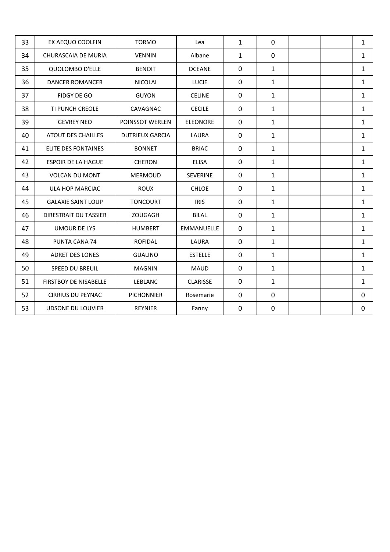| 33 | EX AEQUO COOLFIN             | <b>TORMO</b>           | Lea               | $\mathbf{1}$ | $\mathbf 0$  |  | $\mathbf{1}$ |
|----|------------------------------|------------------------|-------------------|--------------|--------------|--|--------------|
| 34 | <b>CHURASCAIA DE MURIA</b>   | <b>VENNIN</b>          | Albane            | $\mathbf{1}$ | $\mathbf 0$  |  | $\mathbf{1}$ |
| 35 | QUOLOMBO D'ELLE              | <b>BENOIT</b>          | <b>OCEANE</b>     | $\mathbf 0$  | $\mathbf{1}$ |  | $\mathbf{1}$ |
| 36 | <b>DANCER ROMANCER</b>       | <b>NICOLAI</b>         | <b>LUCIE</b>      | $\mathbf 0$  | $\mathbf{1}$ |  | $\mathbf{1}$ |
| 37 | FIDGY DE GO                  | <b>GUYON</b>           | <b>CELINE</b>     | $\mathbf 0$  | $\mathbf{1}$ |  | $\mathbf{1}$ |
| 38 | TI PUNCH CREOLE              | CAVAGNAC               | <b>CECILE</b>     | $\mathbf 0$  | $\mathbf{1}$ |  | $\mathbf{1}$ |
| 39 | <b>GEVREY NEO</b>            | POINSSOT WERLEN        | <b>ELEONORE</b>   | $\mathbf 0$  | $\mathbf{1}$ |  | $\mathbf{1}$ |
| 40 | ATOUT DES CHAILLES           | <b>DUTRIEUX GARCIA</b> | LAURA             | 0            | $\mathbf{1}$ |  | $\mathbf{1}$ |
| 41 | <b>ELITE DES FONTAINES</b>   | <b>BONNET</b>          | <b>BRIAC</b>      | $\mathbf 0$  | $\mathbf{1}$ |  | $\mathbf{1}$ |
| 42 | <b>ESPOIR DE LA HAGUE</b>    | <b>CHERON</b>          | <b>ELISA</b>      | $\mathbf 0$  | $\mathbf{1}$ |  | $\mathbf{1}$ |
| 43 | <b>VOLCAN DU MONT</b>        | <b>MERMOUD</b>         | <b>SEVERINE</b>   | 0            | $\mathbf{1}$ |  | $\mathbf{1}$ |
| 44 | ULA HOP MARCIAC              | <b>ROUX</b>            | <b>CHLOE</b>      | $\mathbf 0$  | $\mathbf{1}$ |  | $\mathbf{1}$ |
| 45 | <b>GALAXIE SAINT LOUP</b>    | <b>TONCOURT</b>        | <b>IRIS</b>       | $\mathbf 0$  | $\mathbf{1}$ |  | $\mathbf{1}$ |
| 46 | <b>DIRESTRAIT DU TASSIER</b> | ZOUGAGH                | <b>BILAL</b>      | 0            | $\mathbf{1}$ |  | $\mathbf{1}$ |
| 47 | <b>UMOUR DE LYS</b>          | <b>HUMBERT</b>         | <b>EMMANUELLE</b> | $\mathbf 0$  | $\mathbf{1}$ |  | $\mathbf{1}$ |
| 48 | PUNTA CANA 74                | <b>ROFIDAL</b>         | LAURA             | $\mathbf 0$  | $\mathbf{1}$ |  | $\mathbf{1}$ |
| 49 | <b>ADRET DES LONES</b>       | <b>GUALINO</b>         | <b>ESTELLE</b>    | 0            | $\mathbf{1}$ |  | $\mathbf{1}$ |
| 50 | SPEED DU BREUIL              | <b>MAGNIN</b>          | <b>MAUD</b>       | $\mathbf 0$  | $\mathbf{1}$ |  | $\mathbf{1}$ |
| 51 | <b>FIRSTBOY DE NISABELLE</b> | LEBLANC                | <b>CLARISSE</b>   | $\mathbf 0$  | $\mathbf{1}$ |  | $\mathbf{1}$ |
| 52 | <b>CIRRIUS DU PEYNAC</b>     | <b>PICHONNIER</b>      | Rosemarie         | $\mathbf 0$  | $\mathbf 0$  |  | $\mathbf 0$  |
| 53 | <b>UDSONE DU LOUVIER</b>     | <b>REYNIER</b>         | Fanny             | 0            | 0            |  | $\mathbf 0$  |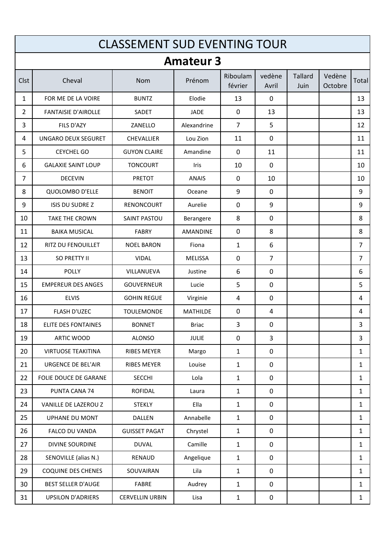|                | <b>CLASSEMENT SUD EVENTING TOUR</b> |                        |                  |                     |                 |                        |                   |                |  |  |
|----------------|-------------------------------------|------------------------|------------------|---------------------|-----------------|------------------------|-------------------|----------------|--|--|
|                |                                     |                        | <b>Amateur 3</b> |                     |                 |                        |                   |                |  |  |
| Clst           | Cheval                              | Nom                    | Prénom           | Riboulam<br>février | vedène<br>Avril | <b>Tallard</b><br>Juin | Vedène<br>Octobre | Total          |  |  |
| $\mathbf{1}$   | FOR ME DE LA VOIRE                  | <b>BUNTZ</b>           | Elodie           | 13                  | $\mathbf{0}$    |                        |                   | 13             |  |  |
| $\overline{2}$ | <b>FANTAISIE D'AIROLLE</b>          | SADET                  | <b>JADE</b>      | $\mathbf 0$         | 13              |                        |                   | 13             |  |  |
| 3              | FILS D'AZY                          | ZANELLO                | Alexandrine      | $\overline{7}$      | 5               |                        |                   | 12             |  |  |
| 4              | UNGARO DEUX SEGURET                 | <b>CHEVALLIER</b>      | Lou Zion         | 11                  | $\mathbf 0$     |                        |                   | 11             |  |  |
| 5              | <b>CEYCHEL GO</b>                   | <b>GUYON CLAIRE</b>    | Amandine         | $\mathbf 0$         | 11              |                        |                   | 11             |  |  |
| 6              | <b>GALAXIE SAINT LOUP</b>           | <b>TONCOURT</b>        | Iris             | 10                  | $\mathbf{0}$    |                        |                   | 10             |  |  |
| 7              | <b>DECEVIN</b>                      | <b>PRETOT</b>          | <b>ANAIS</b>     | $\mathbf 0$         | 10              |                        |                   | 10             |  |  |
| 8              | <b>QUOLOMBO D'ELLE</b>              | <b>BENOIT</b>          | Oceane           | 9                   | 0               |                        |                   | 9              |  |  |
| 9              | <b>ISIS DU SUDRE Z</b>              | RENONCOURT             | Aurelie          | $\mathbf 0$         | 9               |                        |                   | 9              |  |  |
| 10             | <b>TAKE THE CROWN</b>               | <b>SAINT PASTOU</b>    | Berangere        | 8                   | 0               |                        |                   | 8              |  |  |
| 11             | <b>BAIKA MUSICAL</b>                | <b>FABRY</b>           | <b>AMANDINE</b>  | $\mathbf 0$         | 8               |                        |                   | 8              |  |  |
| 12             | RITZ DU FENOUILLET                  | <b>NOEL BARON</b>      | Fiona            | 1                   | 6               |                        |                   | $\overline{7}$ |  |  |
| 13             | SO PRETTY II                        | <b>VIDAL</b>           | <b>MELISSA</b>   | $\mathbf 0$         | $\overline{7}$  |                        |                   | $\overline{7}$ |  |  |
| 14             | <b>POLLY</b>                        | VILLANUEVA             | Justine          | 6                   | 0               |                        |                   | 6              |  |  |
| 15             | <b>EMPEREUR DES ANGES</b>           | <b>GOUVERNEUR</b>      | Lucie            | 5                   | $\mathbf 0$     |                        |                   | 5              |  |  |
| 16             | <b>ELVIS</b>                        | <b>GOHIN REGUE</b>     | Virginie         | 4                   | $\mathbf 0$     |                        |                   | 4              |  |  |
| 17             | <b>FLASH D'UZEC</b>                 | <b>TOULEMONDE</b>      | <b>MATHILDE</b>  | $\mathbf{0}$        | 4               |                        |                   | 4              |  |  |
| 18             | <b>ELITE DES FONTAINES</b>          | <b>BONNET</b>          | <b>Briac</b>     | 3                   | 0               |                        |                   | 3              |  |  |
| 19             | ARTIC WOOD                          | <b>ALONSO</b>          | <b>JULIE</b>     | $\mathbf 0$         | 3               |                        |                   | 3              |  |  |
| 20             | <b>VIRTUOSE TEAKITINA</b>           | RIBES MEYER            | Margo            | $\mathbf{1}$        | $\mathbf 0$     |                        |                   | $\mathbf{1}$   |  |  |
| 21             | URGENCE DE BEL'AIR                  | RIBES MEYER            | Louise           | $\mathbf{1}$        | $\mathbf 0$     |                        |                   | $\mathbf{1}$   |  |  |
| 22             | FOLIE DOUCE DE GARANE               | <b>SECCHI</b>          | Lola             | $\mathbf{1}$        | 0               |                        |                   | $\mathbf{1}$   |  |  |
| 23             | PUNTA CANA 74                       | <b>ROFIDAL</b>         | Laura            | $\mathbf{1}$        | $\mathbf 0$     |                        |                   | $\mathbf{1}$   |  |  |
| 24             | VANILLE DE LAZEROU Z                | <b>STEKLY</b>          | Ella             | $\mathbf{1}$        | $\mathbf 0$     |                        |                   | $\mathbf{1}$   |  |  |
| 25             | <b>UPHANE DU MONT</b>               | DALLEN                 | Annabelle        | $\mathbf{1}$        | $\pmb{0}$       |                        |                   | $\mathbf{1}$   |  |  |
| 26             | FALCO DU VANDA                      | <b>GUISSET PAGAT</b>   | Chrystel         | $\mathbf{1}$        | $\mathbf 0$     |                        |                   | $\mathbf{1}$   |  |  |
| 27             | DIVINE SOURDINE                     | <b>DUVAL</b>           | Camille          | $\mathbf{1}$        | $\mathbf 0$     |                        |                   | 1              |  |  |
| 28             | SENOVILLE (alias N.)                | RENAUD                 | Angelique        | $\mathbf{1}$        | $\mathbf 0$     |                        |                   | $\mathbf{1}$   |  |  |
| 29             | COQUINE DES CHENES                  | SOUVAIRAN              | Lila             | $\mathbf{1}$        | $\pmb{0}$       |                        |                   | 1              |  |  |
| 30             | <b>BEST SELLER D'AUGE</b>           | FABRE                  | Audrey           | $\mathbf{1}$        | $\mathbf 0$     |                        |                   | $\mathbf{1}$   |  |  |
| 31             | <b>UPSILON D'ADRIERS</b>            | <b>CERVELLIN URBIN</b> | Lisa             | $\mathbf{1}$        | 0               |                        |                   | $\mathbf{1}$   |  |  |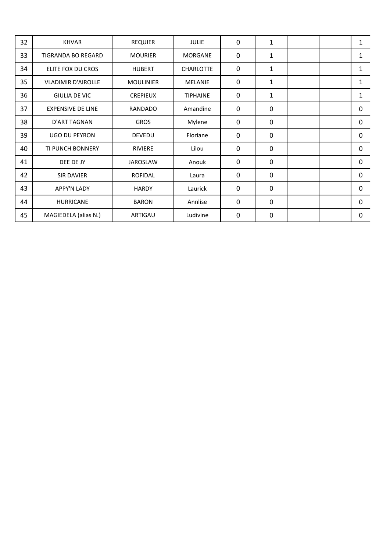| 32 | <b>KHVAR</b>              | <b>REQUIER</b>   | <b>JULIE</b>     | $\Omega$     | $\mathbf{1}$ |  | $\mathbf{1}$ |
|----|---------------------------|------------------|------------------|--------------|--------------|--|--------------|
| 33 | <b>TIGRANDA BO REGARD</b> | <b>MOURIER</b>   | <b>MORGANE</b>   | $\mathbf 0$  | $\mathbf{1}$ |  | $\mathbf{1}$ |
| 34 | ELITE FOX DU CROS         | <b>HUBERT</b>    | <b>CHARLOTTE</b> | $\mathbf 0$  | 1            |  | 1            |
| 35 | <b>VLADIMIR D'AIROLLE</b> | <b>MOULINIER</b> | <b>MELANIE</b>   | $\mathbf{0}$ | $\mathbf{1}$ |  | $\mathbf{1}$ |
| 36 | <b>GIULIA DE VIC</b>      | <b>CREPIEUX</b>  | <b>TIPHAINE</b>  | $\mathbf 0$  | $\mathbf{1}$ |  | 1            |
| 37 | <b>EXPENSIVE DE LINE</b>  | <b>RANDADO</b>   | Amandine         | 0            | 0            |  | 0            |
| 38 | <b>D'ART TAGNAN</b>       | <b>GROS</b>      | Mylene           | $\mathbf 0$  | $\mathbf 0$  |  | 0            |
| 39 | <b>UGO DU PEYRON</b>      | <b>DEVEDU</b>    | Floriane         | $\mathbf 0$  | $\mathbf 0$  |  | 0            |
| 40 | <b>TI PUNCH BONNERY</b>   | <b>RIVIERE</b>   | Lilou            | 0            | $\mathbf 0$  |  | 0            |
| 41 | DEE DE JY                 | <b>JAROSLAW</b>  | Anouk            | $\mathbf 0$  | $\mathbf 0$  |  | 0            |
| 42 | <b>SIR DAVIER</b>         | <b>ROFIDAL</b>   | Laura            | 0            | 0            |  | 0            |
| 43 | <b>APPY'N LADY</b>        | <b>HARDY</b>     | Laurick          | $\mathbf 0$  | $\mathbf 0$  |  | 0            |
| 44 | <b>HURRICANE</b>          | <b>BARON</b>     | Annlise          | 0            | 0            |  | 0            |
| 45 | MAGIEDELA (alias N.)      | ARTIGAU          | Ludivine         | 0            | $\mathbf 0$  |  | 0            |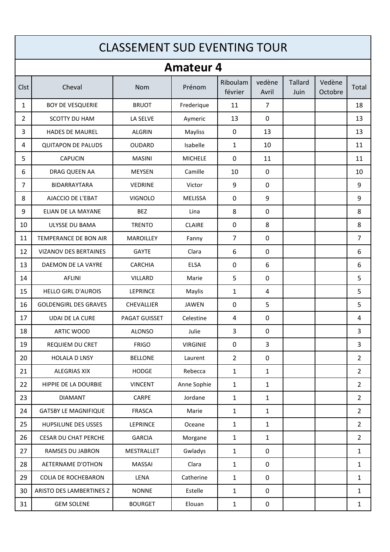|                | <b>CLASSEMENT SUD EVENTING TOUR</b> |                  |                  |                     |                 |                        |                   |                |  |  |  |
|----------------|-------------------------------------|------------------|------------------|---------------------|-----------------|------------------------|-------------------|----------------|--|--|--|
|                |                                     |                  | <b>Amateur 4</b> |                     |                 |                        |                   |                |  |  |  |
| Clst           | Cheval                              | <b>Nom</b>       | Prénom           | Riboulam<br>février | vedène<br>Avril | <b>Tallard</b><br>Juin | Vedène<br>Octobre | Total          |  |  |  |
| $\mathbf{1}$   | <b>BOY DE VESQUERIE</b>             | <b>BRUOT</b>     | Frederique       | 11                  | $\overline{7}$  |                        |                   | 18             |  |  |  |
| $\overline{2}$ | SCOTTY DU HAM                       | LA SELVE         | Aymeric          | 13                  | $\mathbf{0}$    |                        |                   | 13             |  |  |  |
| 3              | <b>HADES DE MAUREL</b>              | <b>ALGRIN</b>    | Mayliss          | 0                   | 13              |                        |                   | 13             |  |  |  |
| 4              | <b>QUITAPON DE PALUDS</b>           | <b>OUDARD</b>    | Isabelle         | 1                   | 10              |                        |                   | 11             |  |  |  |
| 5              | <b>CAPUCIN</b>                      | <b>MASINI</b>    | <b>MICHELE</b>   | 0                   | 11              |                        |                   | 11             |  |  |  |
| 6              | DRAG QUEEN AA                       | <b>MEYSEN</b>    | Camille          | 10                  | $\mathbf 0$     |                        |                   | 10             |  |  |  |
| $\overline{7}$ | <b>BIDARRAYTARA</b>                 | <b>VEDRINE</b>   | Victor           | 9                   | 0               |                        |                   | 9              |  |  |  |
| 8              | AJACCIO DE L'EBAT                   | <b>VIGNOLO</b>   | <b>MELISSA</b>   | 0                   | 9               |                        |                   | 9              |  |  |  |
| 9              | ELIAN DE LA MAYANE                  | <b>BEZ</b>       | Lina             | 8                   | 0               |                        |                   | 8              |  |  |  |
| 10             | <b>ULYSSE DU BAMA</b>               | <b>TRENTO</b>    | <b>CLAIRE</b>    | 0                   | 8               |                        |                   | 8              |  |  |  |
| 11             | TEMPERANCE DE BON AIR               | <b>MAROILLEY</b> | Fanny            | $\overline{7}$      | $\mathbf 0$     |                        |                   | $\overline{7}$ |  |  |  |
| 12             | <b>VIZANOV DES BERTAINES</b>        | <b>GAYTE</b>     | Clara            | 6                   | 0               |                        |                   | 6              |  |  |  |
| 13             | DAEMON DE LA VAYRE                  | <b>CARCHIA</b>   | <b>ELSA</b>      | 0                   | 6               |                        |                   | 6              |  |  |  |
| 14             | <b>AFLINI</b>                       | VILLARD          | Marie            | 5                   | $\mathbf 0$     |                        |                   | 5              |  |  |  |
| 15             | <b>HELLO GIRL D'AUROIS</b>          | <b>LEPRINCE</b>  | Maylis           | $\mathbf{1}$        | 4               |                        |                   | 5              |  |  |  |
| 16             | <b>GOLDENGIRL DES GRAVES</b>        | CHEVALLIER       | <b>JAWEN</b>     | 0                   | 5               |                        |                   | 5              |  |  |  |
| 17             | <b>UDAI DE LA CURE</b>              | PAGAT GUISSET    | Celestine        | 4                   | 0               |                        |                   | 4              |  |  |  |
| 18             | ARTIC WOOD                          | <b>ALONSO</b>    | Julie            | 3                   | 0               |                        |                   | 3              |  |  |  |
| 19             | REQUIEM DU CRET                     | <b>FRIGO</b>     | <b>VIRGINIE</b>  | $\pmb{0}$           | $\overline{3}$  |                        |                   | 3              |  |  |  |
| 20             | <b>HOLALA D LNSY</b>                | <b>BELLONE</b>   | Laurent          | $\overline{2}$      | $\mathbf 0$     |                        |                   | $\overline{2}$ |  |  |  |
| 21             | <b>ALEGRIAS XIX</b>                 | <b>HODGE</b>     | Rebecca          | $\mathbf{1}$        | $\mathbf{1}$    |                        |                   | $\overline{2}$ |  |  |  |
| 22             | HIPPIE DE LA DOURBIE                | <b>VINCENT</b>   | Anne Sophie      | $\mathbf{1}$        | $\mathbf{1}$    |                        |                   | $\overline{2}$ |  |  |  |
| 23             | <b>DIAMANT</b>                      | CARPE            | Jordane          | $\mathbf{1}$        | $\mathbf{1}$    |                        |                   | $\overline{2}$ |  |  |  |
| 24             | <b>GATSBY LE MAGNIFIQUE</b>         | <b>FRASCA</b>    | Marie            | $\mathbf{1}$        | $\mathbf{1}$    |                        |                   | $\overline{2}$ |  |  |  |
| 25             | HUPSILUNE DES USSES                 | LEPRINCE         | Oceane           | $\mathbf{1}$        | $\mathbf{1}$    |                        |                   | $\overline{2}$ |  |  |  |
| 26             | <b>CESAR DU CHAT PERCHE</b>         | <b>GARCIA</b>    | Morgane          | $\mathbf{1}$        | $\mathbf{1}$    |                        |                   | $\overline{2}$ |  |  |  |
| 27             | RAMSES DU JABRON                    | MESTRALLET       | Gwladys          | $\mathbf{1}$        | $\mathbf 0$     |                        |                   | $\mathbf{1}$   |  |  |  |
| 28             | AETERNAME D'OTHON                   | MASSAI           | Clara            | $\mathbf{1}$        | $\mathbf 0$     |                        |                   | $\mathbf{1}$   |  |  |  |
| 29             | <b>COLIA DE ROCHEBARON</b>          | LENA             | Catherine        | $\mathbf{1}$        | $\mathbf 0$     |                        |                   | 1              |  |  |  |
| 30             | ARISTO DES LAMBERTINES Z            | <b>NONNE</b>     | Estelle          | $\mathbf{1}$        | $\mathbf 0$     |                        |                   | $\mathbf{1}$   |  |  |  |
| 31             | <b>GEM SOLENE</b>                   | <b>BOURGET</b>   | Elouan           | $\mathbf{1}$        | 0               |                        |                   | 1              |  |  |  |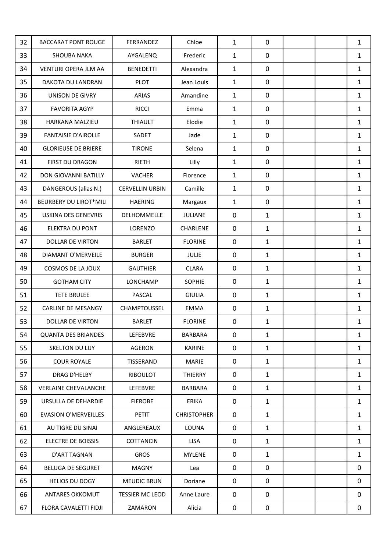| 32 | <b>BACCARAT PONT ROUGE</b>    | FERRANDEZ              | Chloe              | $\mathbf{1}$ | $\mathbf 0$  |  | $\mathbf{1}$ |
|----|-------------------------------|------------------------|--------------------|--------------|--------------|--|--------------|
| 33 | <b>SHOUBA NAKA</b>            | AYGALENQ               | Frederic           | $\mathbf{1}$ | 0            |  | $\mathbf{1}$ |
| 34 | VENTURI OPERA JLM AA          | <b>BENEDETTI</b>       | Alexandra          | $\mathbf{1}$ | $\mathbf 0$  |  | $\mathbf{1}$ |
| 35 | DAKOTA DU LANDRAN             | <b>PLOT</b>            | Jean Louis         | $\mathbf{1}$ | $\mathbf 0$  |  | 1            |
| 36 | UNISON DE GIVRY               | <b>ARIAS</b>           | Amandine           | 1            | 0            |  | 1            |
| 37 | <b>FAVORITA AGYP</b>          | <b>RICCI</b>           | Emma               | $\mathbf{1}$ | $\mathbf 0$  |  | $\mathbf{1}$ |
| 38 | HARKANA MALZIEU               | <b>THIAULT</b>         | Elodie             | $\mathbf{1}$ | $\mathbf 0$  |  | $\mathbf{1}$ |
| 39 | <b>FANTAISIE D'AIROLLE</b>    | SADET                  | Jade               | 1            | $\mathbf 0$  |  | 1            |
| 40 | <b>GLORIEUSE DE BRIERE</b>    | <b>TIRONE</b>          | Selena             | $\mathbf{1}$ | $\mathbf 0$  |  | $\mathbf{1}$ |
| 41 | FIRST DU DRAGON               | <b>RIETH</b>           | Lilly              | $\mathbf{1}$ | 0            |  | $\mathbf{1}$ |
| 42 | DON GIOVANNI BATILLY          | VACHER                 | Florence           | $\mathbf{1}$ | $\mathbf 0$  |  | $\mathbf{1}$ |
| 43 | DANGEROUS (alias N.)          | <b>CERVELLIN URBIN</b> | Camille            | $\mathbf{1}$ | $\mathbf 0$  |  | 1            |
| 44 | <b>BEURBERY DU LIROT*MILI</b> | <b>HAERING</b>         | Margaux            | $\mathbf{1}$ | $\mathbf 0$  |  | $\mathbf{1}$ |
| 45 | <b>USKINA DES GENEVRIS</b>    | DELHOMMELLE            | JULIANE            | $\mathbf 0$  | $\mathbf{1}$ |  | $\mathbf{1}$ |
| 46 | <b>ELEKTRA DU PONT</b>        | LORENZO                | CHARLENE           | $\mathbf 0$  | $\mathbf{1}$ |  | $\mathbf{1}$ |
| 47 | <b>DOLLAR DE VIRTON</b>       | <b>BARLET</b>          | <b>FLORINE</b>     | $\mathbf 0$  | $\mathbf{1}$ |  | 1            |
| 48 | DIAMANT O'MERVEILE            | <b>BURGER</b>          | <b>JULIE</b>       | $\mathbf 0$  | $\mathbf{1}$ |  | $\mathbf{1}$ |
| 49 | COSMOS DE LA JOUX             | <b>GAUTHIER</b>        | <b>CLARA</b>       | $\mathbf 0$  | $\mathbf{1}$ |  | 1            |
| 50 | <b>GOTHAM CITY</b>            | LONCHAMP               | <b>SOPHIE</b>      | $\mathbf 0$  | $\mathbf{1}$ |  | $\mathbf{1}$ |
| 51 | <b>TETE BRULEE</b>            | PASCAL                 | <b>GIULIA</b>      | 0            | $\mathbf{1}$ |  | $\mathbf{1}$ |
| 52 | <b>CARLINE DE MESANGY</b>     | CHAMPTOUSSEL           | <b>EMMA</b>        | 0            | $\mathbf{1}$ |  | 1            |
| 53 | <b>DOLLAR DE VIRTON</b>       | <b>BARLET</b>          | <b>FLORINE</b>     | 0            | $\mathbf{1}$ |  | $\mathbf{1}$ |
| 54 | <b>QUANTA DES BRIANDES</b>    | LEFEBVRE               | <b>BARBARA</b>     | 0            | $\mathbf{1}$ |  | 1            |
| 55 | SKELTON DU LUY                | AGERON                 | <b>KARINE</b>      | 0            | $\mathbf{1}$ |  | $\mathbf{1}$ |
| 56 | <b>COUR ROYALE</b>            | TISSERAND              | <b>MARIE</b>       | $\mathbf 0$  | $\mathbf{1}$ |  | $\mathbf{1}$ |
| 57 | DRAG D'HELBY                  | RIBOULOT               | THIERRY            | 0            | $\mathbf{1}$ |  | 1            |
| 58 | <b>VERLAINE CHEVALANCHE</b>   | LEFEBVRE               | <b>BARBARA</b>     | 0            | $\mathbf{1}$ |  | $\mathbf{1}$ |
| 59 | URSULLA DE DEHARDIE           | <b>FIEROBE</b>         | <b>ERIKA</b>       | 0            | $\mathbf{1}$ |  | $\mathbf{1}$ |
| 60 | <b>EVASION O'MERVEILLES</b>   | <b>PETIT</b>           | <b>CHRISTOPHER</b> | 0            | $\mathbf{1}$ |  | $\mathbf{1}$ |
| 61 | AU TIGRE DU SINAI             | ANGLEREAUX             | LOUNA              | $\mathbf 0$  | $\mathbf{1}$ |  | $\mathbf{1}$ |
| 62 | <b>ELECTRE DE BOISSIS</b>     | <b>COTTANCIN</b>       | <b>LISA</b>        | 0            | $\mathbf{1}$ |  | 1            |
| 63 | D'ART TAGNAN                  | <b>GROS</b>            | <b>MYLENE</b>      | 0            | $\mathbf{1}$ |  | $\mathbf{1}$ |
| 64 | <b>BELUGA DE SEGURET</b>      | <b>MAGNY</b>           | Lea                | $\mathbf 0$  | $\mathbf 0$  |  | 0            |
| 65 | <b>HELIOS DU DOGY</b>         | <b>MEUDIC BRUN</b>     | Doriane            | 0            | $\mathbf 0$  |  | 0            |
| 66 | ANTARES OKKOMUT               | <b>TESSIER MC LEOD</b> | Anne Laure         | 0            | $\mathbf 0$  |  | 0            |
| 67 | FLORA CAVALETTI FIDJI         | ZAMARON                | Alicia             | 0            | $\mathbf 0$  |  | 0            |